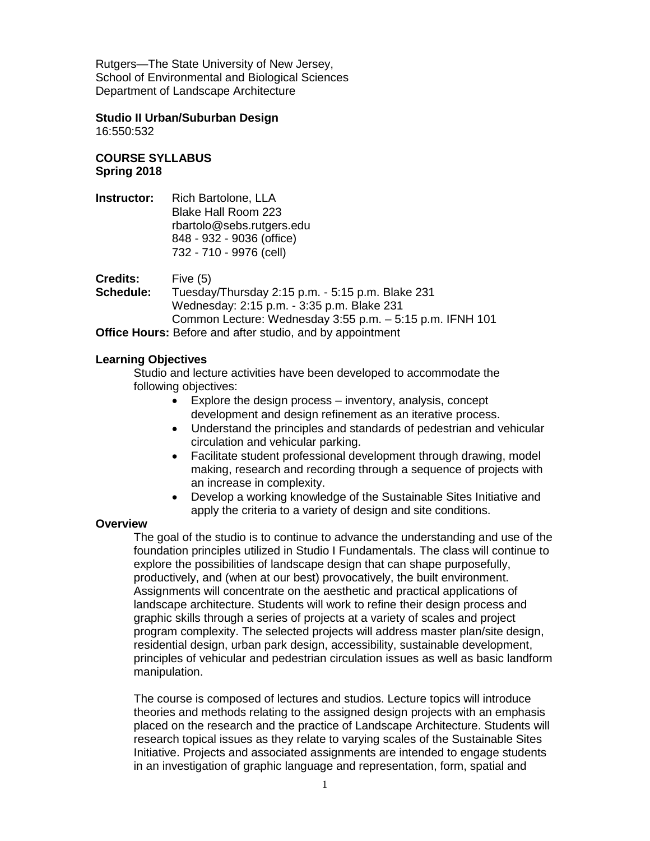Rutgers—The State University of New Jersey, School of Environmental and Biological Sciences Department of Landscape Architecture

**Studio II Urban/Suburban Design**

16:550:532

# **COURSE SYLLABUS Spring 2018**

**Instructor:** Rich Bartolone, LLA Blake Hall Room 223 rbartolo@sebs.rutgers.edu 848 - 932 - 9036 (office) 732 - 710 - 9976 (cell)

**Credits:** Five (5) **Schedule:** Tuesday/Thursday 2:15 p.m. - 5:15 p.m. Blake 231 Wednesday: 2:15 p.m. - 3:35 p.m. Blake 231 Common Lecture: Wednesday 3:55 p.m. – 5:15 p.m. IFNH 101

**Office Hours:** Before and after studio, and by appointment

# **Learning Objectives**

Studio and lecture activities have been developed to accommodate the following objectives:

- Explore the design process inventory, analysis, concept development and design refinement as an iterative process.
- Understand the principles and standards of pedestrian and vehicular circulation and vehicular parking.
- Facilitate student professional development through drawing, model making, research and recording through a sequence of projects with an increase in complexity.
- Develop a working knowledge of the Sustainable Sites Initiative and apply the criteria to a variety of design and site conditions.

### **Overview**

The goal of the studio is to continue to advance the understanding and use of the foundation principles utilized in Studio I Fundamentals. The class will continue to explore the possibilities of landscape design that can shape purposefully, productively, and (when at our best) provocatively, the built environment. Assignments will concentrate on the aesthetic and practical applications of landscape architecture. Students will work to refine their design process and graphic skills through a series of projects at a variety of scales and project program complexity. The selected projects will address master plan/site design, residential design, urban park design, accessibility, sustainable development, principles of vehicular and pedestrian circulation issues as well as basic landform manipulation.

The course is composed of lectures and studios. Lecture topics will introduce theories and methods relating to the assigned design projects with an emphasis placed on the research and the practice of Landscape Architecture. Students will research topical issues as they relate to varying scales of the Sustainable Sites Initiative. Projects and associated assignments are intended to engage students in an investigation of graphic language and representation, form, spatial and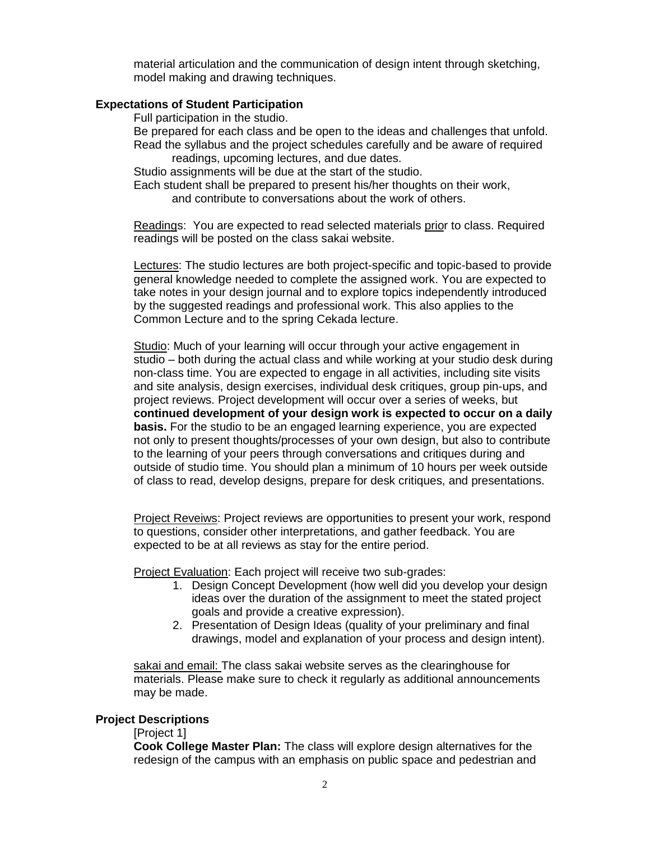material articulation and the communication of design intent through sketching, model making and drawing techniques.

### **Expectations of Student Participation**

Full participation in the studio.

Be prepared for each class and be open to the ideas and challenges that unfold.

Read the syllabus and the project schedules carefully and be aware of required readings, upcoming lectures, and due dates.

Studio assignments will be due at the start of the studio.

Each student shall be prepared to present his/her thoughts on their work, and contribute to conversations about the work of others.

Readings: You are expected to read selected materials prior to class. Required readings will be posted on the class sakai website.

Lectures: The studio lectures are both project-specific and topic-based to provide general knowledge needed to complete the assigned work. You are expected to take notes in your design journal and to explore topics independently introduced by the suggested readings and professional work. This also applies to the Common Lecture and to the spring Cekada lecture.

Studio: Much of your learning will occur through your active engagement in studio – both during the actual class and while working at your studio desk during non-class time. You are expected to engage in all activities, including site visits and site analysis, design exercises, individual desk critiques, group pin-ups, and project reviews. Project development will occur over a series of weeks, but **continued development of your design work is expected to occur on a daily basis.** For the studio to be an engaged learning experience, you are expected not only to present thoughts/processes of your own design, but also to contribute to the learning of your peers through conversations and critiques during and outside of studio time. You should plan a minimum of 10 hours per week outside of class to read, develop designs, prepare for desk critiques, and presentations.

Project Reveiws: Project reviews are opportunities to present your work, respond to questions, consider other interpretations, and gather feedback. You are expected to be at all reviews as stay for the entire period.

Project Evaluation: Each project will receive two sub-grades:

- 1. Design Concept Development (how well did you develop your design ideas over the duration of the assignment to meet the stated project goals and provide a creative expression).
- 2. Presentation of Design Ideas (quality of your preliminary and final drawings, model and explanation of your process and design intent).

sakai and email: The class sakai website serves as the clearinghouse for materials. Please make sure to check it regularly as additional announcements may be made.

#### **Project Descriptions**

[Project 1]

**Cook College Master Plan:** The class will explore design alternatives for the redesign of the campus with an emphasis on public space and pedestrian and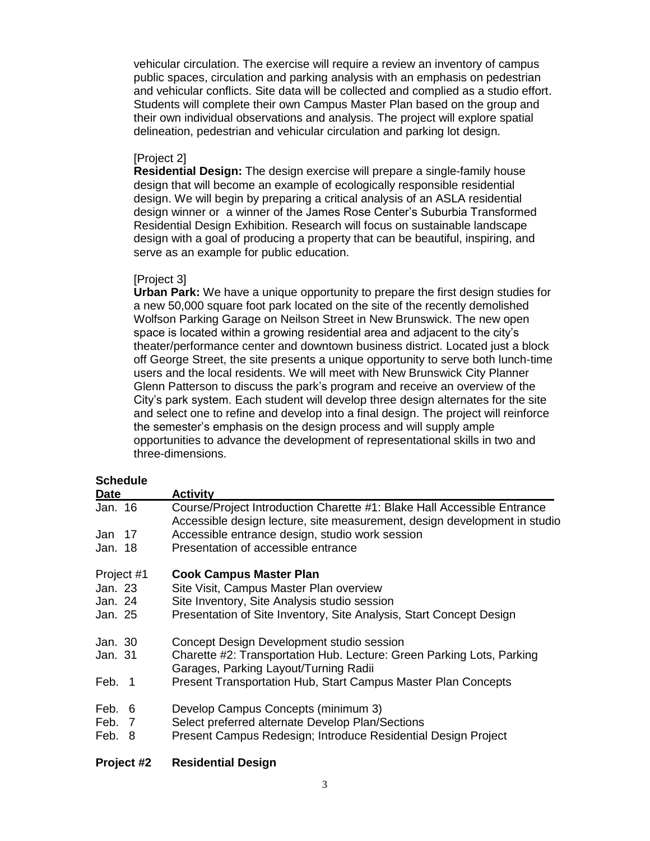vehicular circulation. The exercise will require a review an inventory of campus public spaces, circulation and parking analysis with an emphasis on pedestrian and vehicular conflicts. Site data will be collected and complied as a studio effort. Students will complete their own Campus Master Plan based on the group and their own individual observations and analysis. The project will explore spatial delineation, pedestrian and vehicular circulation and parking lot design.

## [Project 2]

**Residential Design:** The design exercise will prepare a single-family house design that will become an example of ecologically responsible residential design. We will begin by preparing a critical analysis of an ASLA residential design winner or a winner of the James Rose Center's Suburbia Transformed Residential Design Exhibition. Research will focus on sustainable landscape design with a goal of producing a property that can be beautiful, inspiring, and serve as an example for public education.

## [Project 3]

**Urban Park:** We have a unique opportunity to prepare the first design studies for a new 50,000 square foot park located on the site of the recently demolished Wolfson Parking Garage on Neilson Street in New Brunswick. The new open space is located within a growing residential area and adjacent to the city's theater/performance center and downtown business district. Located just a block off George Street, the site presents a unique opportunity to serve both lunch-time users and the local residents. We will meet with New Brunswick City Planner Glenn Patterson to discuss the park's program and receive an overview of the City's park system. Each student will develop three design alternates for the site and select one to refine and develop into a final design. The project will reinforce the semester's emphasis on the design process and will supply ample opportunities to advance the development of representational skills in two and three-dimensions.

### **Schedule**

| <b>Date</b> | <b>Activity</b>                                                                                                                                      |
|-------------|------------------------------------------------------------------------------------------------------------------------------------------------------|
| Jan. 16     | Course/Project Introduction Charette #1: Blake Hall Accessible Entrance<br>Accessible design lecture, site measurement, design development in studio |
| Jan 17      | Accessible entrance design, studio work session                                                                                                      |
| Jan. 18     | Presentation of accessible entrance                                                                                                                  |
| Project #1  | <b>Cook Campus Master Plan</b>                                                                                                                       |
| Jan. 23     | Site Visit, Campus Master Plan overview                                                                                                              |
| Jan. 24     | Site Inventory, Site Analysis studio session                                                                                                         |
| Jan. 25     | Presentation of Site Inventory, Site Analysis, Start Concept Design                                                                                  |
| Jan. 30     | Concept Design Development studio session                                                                                                            |
| Jan. 31     | Charette #2: Transportation Hub. Lecture: Green Parking Lots, Parking<br>Garages, Parking Layout/Turning Radii                                       |
| Feb. 1      | Present Transportation Hub, Start Campus Master Plan Concepts                                                                                        |
| Feb. 6      | Develop Campus Concepts (minimum 3)                                                                                                                  |
| Feb. 7      | Select preferred alternate Develop Plan/Sections                                                                                                     |
| Feb. 8      | Present Campus Redesign; Introduce Residential Design Project                                                                                        |

# **Project #2 Residential Design**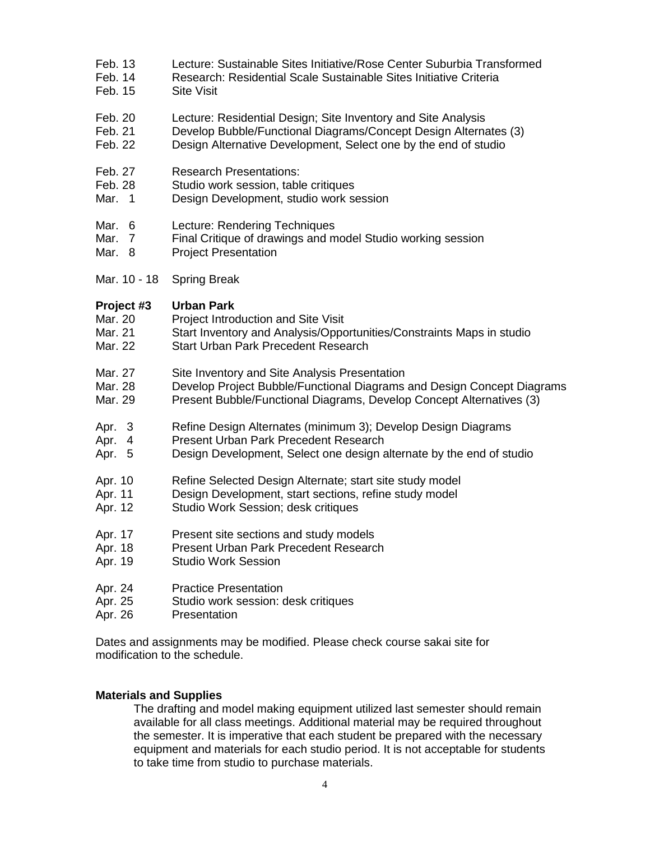- Feb. 13 Lecture: Sustainable Sites Initiative/Rose Center Suburbia Transformed
- Feb. 14 Research: Residential Scale Sustainable Sites Initiative Criteria
- Feb. 15 Site Visit
- Feb. 20 Lecture: Residential Design; Site Inventory and Site Analysis
- Feb. 21 Develop Bubble/Functional Diagrams/Concept Design Alternates (3)
- Feb. 22 Design Alternative Development, Select one by the end of studio
- Feb. 27 Research Presentations:
- Feb. 28 Studio work session, table critiques
- Mar. 1 Design Development, studio work session
- Mar. 6 Lecture: Rendering Techniques
- Mar. 7 Final Critique of drawings and model Studio working session
- Mar. 8 Project Presentation
- Mar. 10 18 Spring Break

## **Project #3 Urban Park**

- Mar. 20 Project Introduction and Site Visit
- Mar. 21 Start Inventory and Analysis/Opportunities/Constraints Maps in studio
- Mar. 22 Start Urban Park Precedent Research
- Mar. 27 Site Inventory and Site Analysis Presentation<br>Mar. 28 Develop Project Bubble/Functional Diagrams
- Develop Project Bubble/Functional Diagrams and Design Concept Diagrams
- Mar. 29 Present Bubble/Functional Diagrams, Develop Concept Alternatives (3)
- Apr. 3 Refine Design Alternates (minimum 3); Develop Design Diagrams
- Apr. 4 Present Urban Park Precedent Research
- Apr. 5 Design Development, Select one design alternate by the end of studio
- Apr. 10 Refine Selected Design Alternate; start site study model
- Apr. 11 Design Development, start sections, refine study model
- Apr. 12 Studio Work Session; desk critiques
- Apr. 17 Present site sections and study models
- Apr. 18 Present Urban Park Precedent Research
- Apr. 19 Studio Work Session
- Apr. 24 Practice Presentation
- Apr. 25 Studio work session: desk critiques
- Apr. 26 Presentation

Dates and assignments may be modified. Please check course sakai site for modification to the schedule.

# **Materials and Supplies**

The drafting and model making equipment utilized last semester should remain available for all class meetings. Additional material may be required throughout the semester. It is imperative that each student be prepared with the necessary equipment and materials for each studio period. It is not acceptable for students to take time from studio to purchase materials.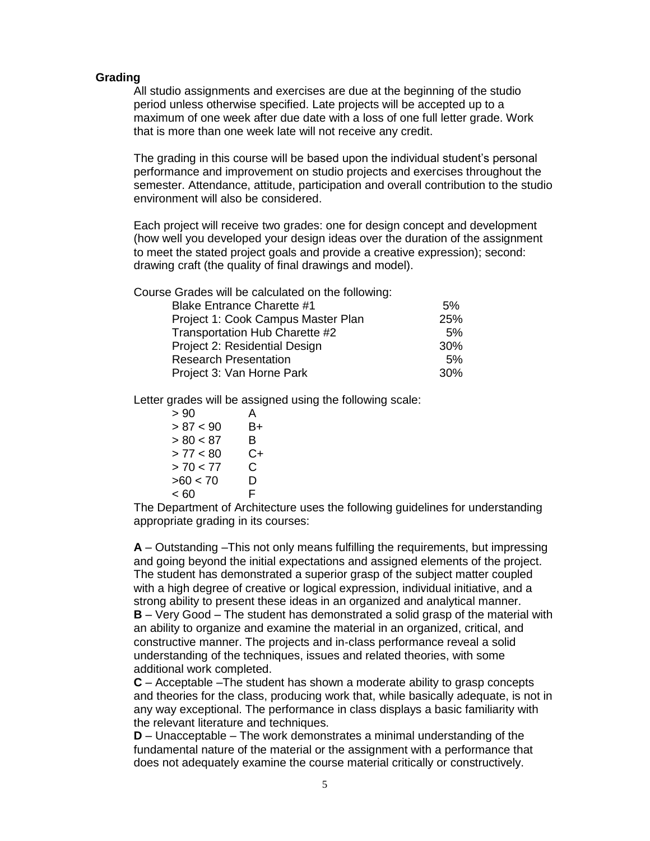#### **Grading**

All studio assignments and exercises are due at the beginning of the studio period unless otherwise specified. Late projects will be accepted up to a maximum of one week after due date with a loss of one full letter grade. Work that is more than one week late will not receive any credit.

The grading in this course will be based upon the individual student's personal performance and improvement on studio projects and exercises throughout the semester. Attendance, attitude, participation and overall contribution to the studio environment will also be considered.

Each project will receive two grades: one for design concept and development (how well you developed your design ideas over the duration of the assignment to meet the stated project goals and provide a creative expression); second: drawing craft (the quality of final drawings and model).

Course Grades will be calculated on the following:

| <b>Blake Entrance Charette #1</b>  | 5%  |
|------------------------------------|-----|
| Project 1: Cook Campus Master Plan | 25% |
| Transportation Hub Charette #2     | 5%  |
| Project 2: Residential Design      | 30% |
| <b>Research Presentation</b>       | 5%  |
| Project 3: Van Horne Park          | 30% |
|                                    |     |

Letter grades will be assigned using the following scale:

 $> 90$  A  $> 87 < 90$  B+  $> 80 < 87$  B  $> 77 < 80$  C+  $> 70 < 77$  C  $>60 < 70$  D  $<60$  F

The Department of Architecture uses the following guidelines for understanding appropriate grading in its courses:

**A** – Outstanding –This not only means fulfilling the requirements, but impressing and going beyond the initial expectations and assigned elements of the project. The student has demonstrated a superior grasp of the subject matter coupled with a high degree of creative or logical expression, individual initiative, and a strong ability to present these ideas in an organized and analytical manner. **B** – Very Good – The student has demonstrated a solid grasp of the material with an ability to organize and examine the material in an organized, critical, and constructive manner. The projects and in‐class performance reveal a solid understanding of the techniques, issues and related theories, with some additional work completed.

**C** – Acceptable –The student has shown a moderate ability to grasp concepts and theories for the class, producing work that, while basically adequate, is not in any way exceptional. The performance in class displays a basic familiarity with the relevant literature and techniques.

**D** – Unacceptable – The work demonstrates a minimal understanding of the fundamental nature of the material or the assignment with a performance that does not adequately examine the course material critically or constructively.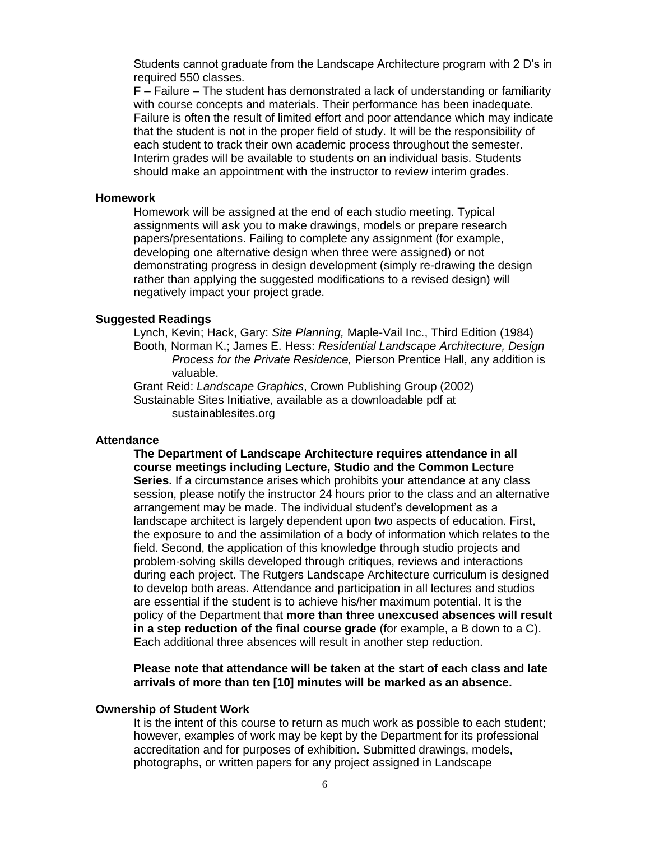Students cannot graduate from the Landscape Architecture program with 2 D's in required 550 classes.

**F** – Failure – The student has demonstrated a lack of understanding or familiarity with course concepts and materials. Their performance has been inadequate. Failure is often the result of limited effort and poor attendance which may indicate that the student is not in the proper field of study. It will be the responsibility of each student to track their own academic process throughout the semester. Interim grades will be available to students on an individual basis. Students should make an appointment with the instructor to review interim grades.

#### **Homework**

Homework will be assigned at the end of each studio meeting. Typical assignments will ask you to make drawings, models or prepare research papers/presentations. Failing to complete any assignment (for example, developing one alternative design when three were assigned) or not demonstrating progress in design development (simply re-drawing the design rather than applying the suggested modifications to a revised design) will negatively impact your project grade.

#### **Suggested Readings**

Lynch, Kevin; Hack, Gary: *Site Planning,* Maple-Vail Inc., Third Edition (1984) Booth, Norman K.; James E. Hess: *Residential Landscape Architecture, Design Process for the Private Residence,* Pierson Prentice Hall, any addition is valuable.

Grant Reid: *Landscape Graphics*, Crown Publishing Group (2002) Sustainable Sites Initiative, available as a downloadable pdf at sustainablesites.org

#### **Attendance**

**The Department of Landscape Architecture requires attendance in all course meetings including Lecture, Studio and the Common Lecture Series.** If a circumstance arises which prohibits your attendance at any class session, please notify the instructor 24 hours prior to the class and an alternative arrangement may be made. The individual student's development as a landscape architect is largely dependent upon two aspects of education. First, the exposure to and the assimilation of a body of information which relates to the field. Second, the application of this knowledge through studio projects and problem‐solving skills developed through critiques, reviews and interactions during each project. The Rutgers Landscape Architecture curriculum is designed to develop both areas. Attendance and participation in all lectures and studios are essential if the student is to achieve his/her maximum potential. It is the policy of the Department that **more than three unexcused absences will result in a step reduction of the final course grade** (for example, a B down to a C). Each additional three absences will result in another step reduction.

**Please note that attendance will be taken at the start of each class and late arrivals of more than ten [10] minutes will be marked as an absence.** 

### **Ownership of Student Work**

It is the intent of this course to return as much work as possible to each student; however, examples of work may be kept by the Department for its professional accreditation and for purposes of exhibition. Submitted drawings, models, photographs, or written papers for any project assigned in Landscape